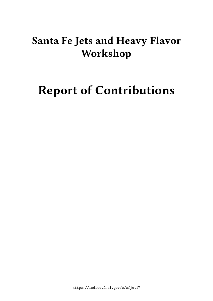## **Santa Fe Jets and Heavy Flavor Workshop**

# **Report of Contributions**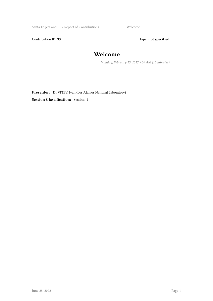Santa Fe Jets and … / Report of Contributions Welcome

Contribution ID: 33 Type: **not specified** 

## **Welcome**

*Monday, February 13, 2017 9:00 AM (10 minutes)*

Presenter: Dr VITEV, Ivan (Los Alamos National Laboratory)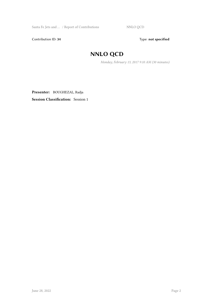Contribution ID: 34 Type: **not specified** 

## **NNLO QCD**

*Monday, February 13, 2017 9:10 AM (30 minutes)*

**Presenter:** BOUGHEZAL, Radja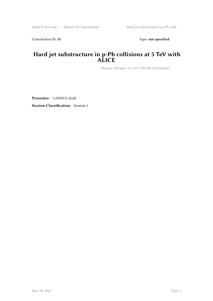Contribution ID: 35 Type: **not specified** 

#### **Hard jet substructure in p-Pb collisions at 5 TeV with ALICE**

*Monday, February 13, 2017 9:40 AM (30 minutes)*

**Presenter:** LAPIDUS, Kirill **Session Classification:** Session 1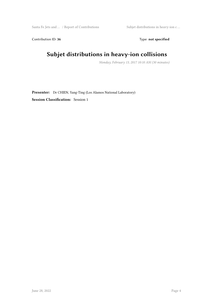Santa Fe Jets and … / Report of Contributions Subjet distributions in heavy-ion c …

Contribution ID: 36 Type: **not specified** 

## **Subjet distributions in heavy-ion collisions**

*Monday, February 13, 2017 10:10 AM (30 minutes)*

**Presenter:** Dr CHIEN, Yang-Ting (Los Alamos National Laboratory) **Session Classification:** Session 1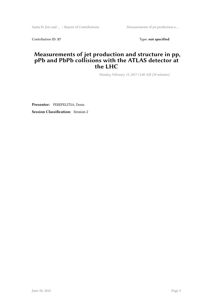Contribution ID: 37 Type: **not specified** 

#### **Measurements of jet production and structure in pp, pPb and PbPb collisions with the ATLAS detector at the LHC**

*Monday, February 13, 2017 11:00 AM (30 minutes)*

**Presenter:** PEREPELITSA, Denis **Session Classification:** Session 2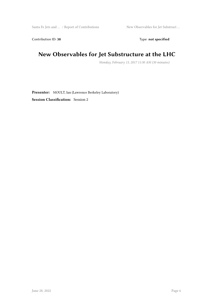Contribution ID: 38 Type: **not specified** 

## **New Observables for Jet Substructure at the LHC**

*Monday, February 13, 2017 11:30 AM (30 minutes)*

**Presenter:** MOULT, Ian (Lawrence Berkeley Laboratory) **Session Classification:** Session 2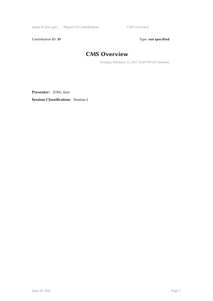Santa Fe Jets and … / Report of Contributions CMS Overview

Contribution ID: 39 Type: **not specified** 

## **CMS Overview**

*Monday, February 13, 2017 12:00 PM (30 minutes)*

**Presenter:** JUNG, Kurt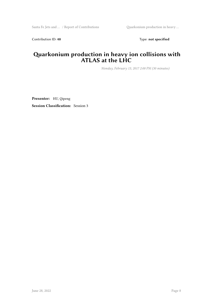Contribution ID: 40 **Type:** not specified

#### **Quarkonium production in heavy ion collisions with ATLAS at the LHC**

*Monday, February 13, 2017 2:00 PM (30 minutes)*

**Presenter:** HU, Qipeng **Session Classification:** Session 3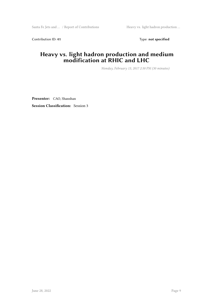Contribution ID: 41 Type: **not specified** 

#### **Heavy vs. light hadron production and medium modification at RHIC and LHC**

*Monday, February 13, 2017 2:30 PM (30 minutes)*

**Presenter:** CAO, Shanshan **Session Classification:** Session 3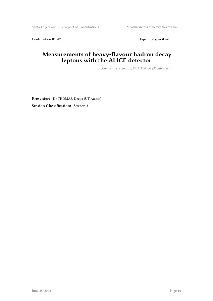Contribution ID: 42 Type: **not specified** 

#### **Measurements of heavy-flavour hadron decay leptons with the ALICE detector**

*Monday, February 13, 2017 3:00 PM (30 minutes)*

**Presenter:** Dr THOMAS, Deepa (UT Austin) **Session Classification:** Session 3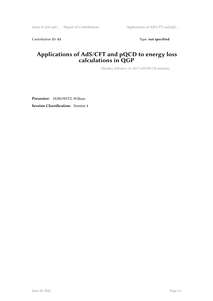Contribution ID: 43 Type: **not specified** 

#### **Applications of AdS/CFT and pQCD to energy loss calculations in QGP**

*Monday, February 13, 2017 4:00 PM (30 minutes)*

**Presenter:** HOROWITZ, William **Session Classification:** Session 4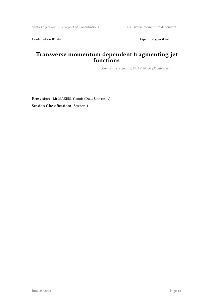Contribution ID: 44 Type: **not specified** 

#### **Transverse momentum dependent fragmenting jet functions**

*Monday, February 13, 2017 4:30 PM (30 minutes)*

**Presenter:** Mr MAKRIS, Yiannis (Duke University) **Session Classification:** Session 4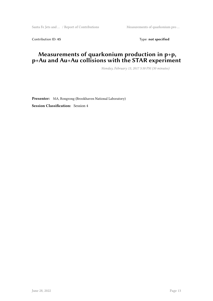Santa Fe Jets and ... / Report of Contributions Measurements of quarkonium pro ...

Contribution ID: 45 Type: **not specified** 

#### **Measurements of quarkonium production in p+p, p+Au and Au+Au collisions with the STAR experiment**

*Monday, February 13, 2017 5:30 PM (30 minutes)*

**Presenter:** MA, Rongrong (Brookhaven National Laboratory) **Session Classification:** Session 4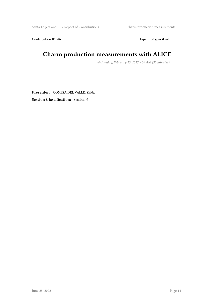Santa Fe Jets and … / Report of Contributions Charm production measurements …

Contribution ID: 46 Type: **not specified** 

## **Charm production measurements with ALICE**

*Wednesday, February 15, 2017 9:00 AM (30 minutes)*

**Presenter:** CONESA DEL VALLE, Zaida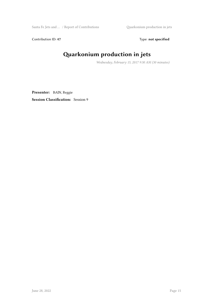Santa Fe Jets and … / Report of Contributions Quarkonium production in jets

Contribution ID: 47 Type: **not specified** 

## **Quarkonium production in jets**

*Wednesday, February 15, 2017 9:30 AM (30 minutes)*

**Presenter:** BAIN, Reggie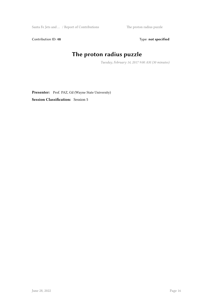Santa Fe Jets and … / Report of Contributions The proton radius puzzle

Contribution ID: 48 Type: **not specified** 

## **The proton radius puzzle**

*Tuesday, February 14, 2017 9:00 AM (30 minutes)*

Presenter: Prof. PAZ, Gil (Wayne State University) **Session Classification:** Session 5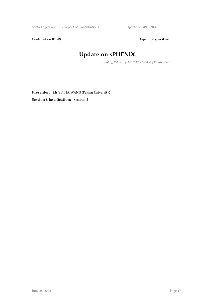Santa Fe Jets and … / Report of Contributions Update on sPHENIX

Contribution ID: 49 Type: **not specified** 

## **Update on sPHENIX**

*Tuesday, February 14, 2017 9:30 AM (30 minutes)*

**Presenter:** Mr YU, HAIWANG (Peking University) **Session Classification:** Session 5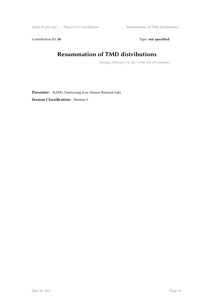$\begin{minipage}[c]{0.9\linewidth} \textbf{S} \textbf{and} \textbf{a} \textbf{,} \textbf{b} \textbf{c} \textbf{c} \textbf{.} \textbf{c} \textbf{.} \textbf{c} \textbf{.} \textbf{c} \textbf{.} \textbf{c} \textbf{.} \textbf{c} \textbf{.} \textbf{c} \textbf{.} \textbf{c} \textbf{.} \textbf{c} \textbf{.} \textbf{c} \textbf{.} \textbf{c} \textbf{.} \textbf{c} \textbf{.} \textbf{c} \textbf{.} \textbf{c} \textbf{.} \$ 

Contribution ID: 50 Type: not specified

## **Resummation of TMD distributions**

*Tuesday, February 14, 2017 10:00 AM (30 minutes)*

**Presenter:** KANG, Daekyoung (Los Alamos National Lab) **Session Classification:** Session 5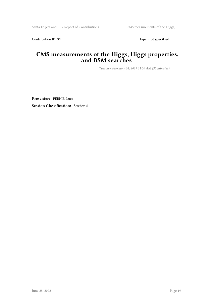Contribution ID: 51 Type: **not specified** 

#### **CMS measurements of the Higgs, Higgs properties, and BSM searches**

*Tuesday, February 14, 2017 11:00 AM (30 minutes)*

**Presenter:** PERNIE, Luca **Session Classification:** Session 6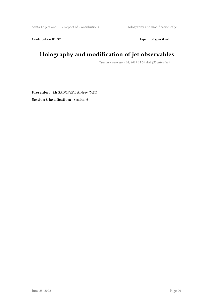Contribution ID: 52 Type: **not specified** 

## **Holography and modification of jet observables**

*Tuesday, February 14, 2017 11:30 AM (30 minutes)*

**Presenter:** Mr SADOFYEV, Andrey (MIT) **Session Classification:** Session 6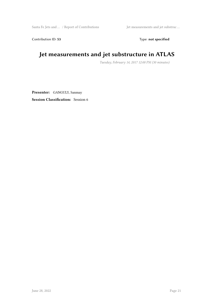Contribution ID: 53 Type: **not specified** 

## **Jet measurements and jet substructure in ATLAS**

*Tuesday, February 14, 2017 12:00 PM (30 minutes)*

**Presenter:** GANGULY, Sanmay **Session Classification:** Session 6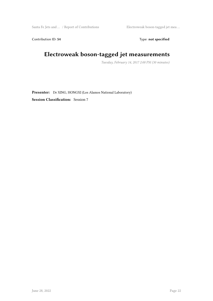Santa Fe Jets and … / Report of Contributions Electroweak boson-tagged jet mea …

Contribution ID: 54 Type: **not specified** 

## **Electroweak boson-tagged jet measurements**

*Tuesday, February 14, 2017 2:00 PM (30 minutes)*

**Presenter:** Dr XING, HONGXI (Los Alamos National Laboratory) **Session Classification:** Session 7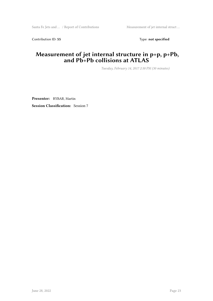Contribution ID: 55 Type: **not specified** 

#### **Measurement of jet internal structure in p+p, p+Pb, and Pb+Pb collisions at ATLAS**

*Tuesday, February 14, 2017 2:30 PM (30 minutes)*

**Presenter:** RYBAR, Martin **Session Classification:** Session 7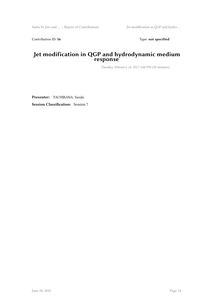Contribution ID: 56 Type: not specified

#### **Jet modification in QGP and hydrodynamic medium response**

*Tuesday, February 14, 2017 3:00 PM (30 minutes)*

**Presenter:** TACHIBANA, Yasuki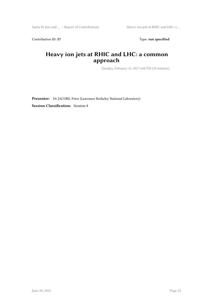Contribution ID: 57 Type: **not specified** 

#### **Heavy ion jets at RHIC and LHC: a common approach**

*Tuesday, February 14, 2017 4:00 PM (30 minutes)*

**Presenter:** Dr JACOBS, Peter (Lawrence Berkeley National Laboratory)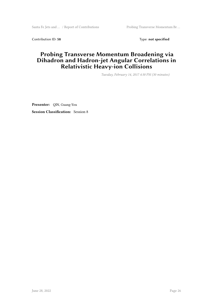Santa Fe Jets and ... / Report of Contributions Probing Transverse Momentum Br ...

Contribution ID: 58 Type: **not specified** 

#### **Probing Transverse Momentum Broadening via Dihadron and Hadron-jet Angular Correlations in Relativistic Heavy-ion Collisions**

*Tuesday, February 14, 2017 4:30 PM (30 minutes)*

**Presenter:** QIN, Guang-You **Session Classification:** Session 8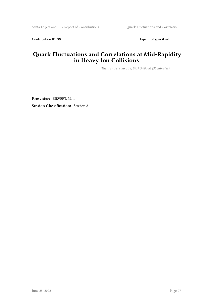Contribution ID: 59 Type: **not specified** 

#### **Quark Fluctuations and Correlations at Mid-Rapidity in Heavy Ion Collisions**

*Tuesday, February 14, 2017 5:00 PM (30 minutes)*

**Presenter:** SIEVERT, Matt **Session Classification:** Session 8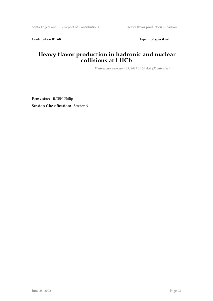Contribution ID: 60 Type: not specified

#### **Heavy flavor production in hadronic and nuclear collisions at LHCb**

*Wednesday, February 15, 2017 10:00 AM (30 minutes)*

**Presenter:** ILTEN, Philip **Session Classification:** Session 9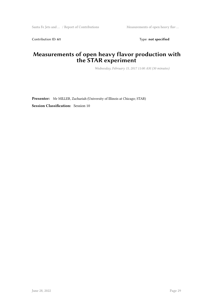Contribution ID: 61 Type: **not specified** 

#### **Measurements of open heavy flavor production with the STAR experiment**

*Wednesday, February 15, 2017 11:00 AM (30 minutes)*

**Presenter:** Mr MILLER, Zachariah (University of Illinois at Chicago; STAR)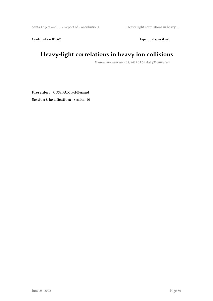Santa Fe Jets and … / Report of Contributions Heavy-light correlations in heavy …

Contribution ID: 62 Type: **not specified** 

## **Heavy-light correlations in heavy ion collisions**

*Wednesday, February 15, 2017 11:30 AM (30 minutes)*

**Presenter:** GOSSIAUX, Pol-Bernard **Session Classification:** Session 10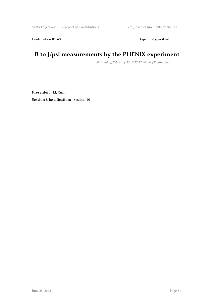Contribution ID: 63 Type: **not specified** 

## **B to J/psi measurements by the PHENIX experiment**

*Wednesday, February 15, 2017 12:00 PM (30 minutes)*

**Presenter:** LI, Xuan **Session Classification:** Session 10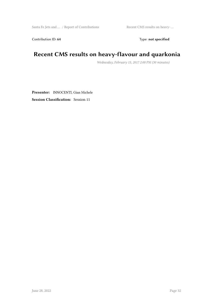Contribution ID: 64 Type: **not specified** 

## **Recent CMS results on heavy-flavour and quarkonia**

*Wednesday, February 15, 2017 2:00 PM (30 minutes)*

**Presenter:** INNOCENTI, Gian Michele **Session Classification:** Session 11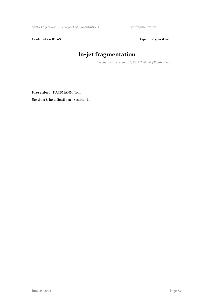Santa Fe Jets and … / Report of Contributions In-jet fragmentation

Contribution ID: 65 Type: **not specified** 

## **In-jet fragmentation**

*Wednesday, February 15, 2017 2:30 PM (30 minutes)*

**Presenter:** KAUFMANN, Tom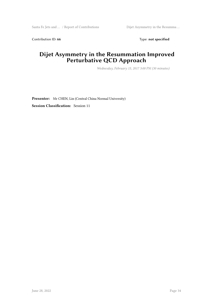Contribution ID: 66 Type: **not specified** 

#### **Dijet Asymmetry in the Resummation Improved Perturbative QCD Approach**

*Wednesday, February 15, 2017 3:00 PM (30 minutes)*

**Presenter:** Mr CHEN, Lin (Central China Normal University) **Session Classification:** Session 11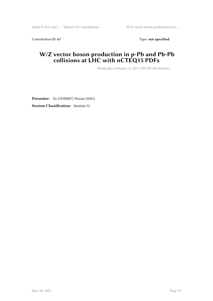Contribution ID: 67 Type: **not specified** 

#### **W/Z vector boson production in p-Pb and Pb-Pb collisions at LHC with nCTEQ15 PDFs**

*Wednesday, February 15, 2017 4:00 PM (30 minutes)*

**Presenter:** Dr LYONNET, Florian (SMU) **Session Classification:** Session 12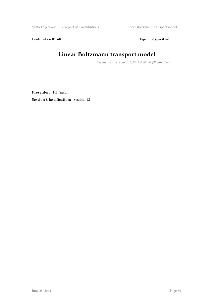Santa Fe Jets and … / Report of Contributions Linear Boltzmann transport model

Contribution ID: 68 Type: **not specified** 

## **Linear Boltzmann transport model**

*Wednesday, February 15, 2017 4:30 PM (30 minutes)*

**Presenter:** HE, Yayun **Session Classification:** Session 12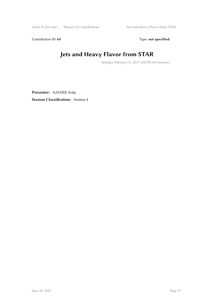Contribution ID: 69 Type: **not specified** 

## **Jets and Heavy Flavor from STAR**

*Monday, February 13, 2017 5:00 PM (30 minutes)*

**Presenter:** KAUDER, Kolja **Session Classification:** Session 4